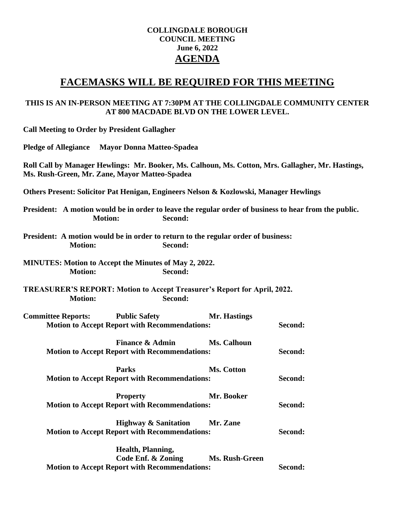## **COLLINGDALE BOROUGH COUNCIL MEETING June 6, 2022 AGENDA**

# **FACEMASKS WILL BE REQUIRED FOR THIS MEETING**

## **THIS IS AN IN-PERSON MEETING AT 7:30PM AT THE COLLINGDALE COMMUNITY CENTER AT 800 MACDADE BLVD ON THE LOWER LEVEL.**

| <b>Call Meeting to Order by President Gallagher</b>                                                                                                |                                                                                                            |                    |         |
|----------------------------------------------------------------------------------------------------------------------------------------------------|------------------------------------------------------------------------------------------------------------|--------------------|---------|
| <b>Pledge of Allegiance</b>                                                                                                                        | <b>Mayor Donna Matteo-Spadea</b>                                                                           |                    |         |
| Roll Call by Manager Hewlings: Mr. Booker, Ms. Calhoun, Ms. Cotton, Mrs. Gallagher, Mr. Hastings,<br>Ms. Rush-Green, Mr. Zane, Mayor Matteo-Spadea |                                                                                                            |                    |         |
| Others Present: Solicitor Pat Henigan, Engineers Nelson & Kozlowski, Manager Hewlings                                                              |                                                                                                            |                    |         |
| President: A motion would be in order to leave the regular order of business to hear from the public.<br><b>Motion:</b>                            | Second:                                                                                                    |                    |         |
| President: A motion would be in order to return to the regular order of business:<br><b>Motion:</b>                                                | Second:                                                                                                    |                    |         |
| <b>MINUTES:</b> Motion to Accept the Minutes of May 2, 2022.<br><b>Motion:</b><br>Second:                                                          |                                                                                                            |                    |         |
| <b>TREASURER'S REPORT: Motion to Accept Treasurer's Report for April, 2022.</b><br><b>Motion:</b>                                                  | Second:                                                                                                    |                    |         |
| <b>Committee Reports:</b>                                                                                                                          | <b>Public Safety</b><br><b>Motion to Accept Report with Recommendations:</b>                               | Mr. Hastings       | Second: |
|                                                                                                                                                    | <b>Finance &amp; Admin</b><br><b>Motion to Accept Report with Recommendations:</b>                         | <b>Ms. Calhoun</b> | Second: |
| <b>Parks</b><br>Ms. Cotton<br><b>Motion to Accept Report with Recommendations:</b>                                                                 |                                                                                                            |                    | Second: |
|                                                                                                                                                    | <b>Property</b><br><b>Motion to Accept Report with Recommendations:</b>                                    | Mr. Booker         | Second: |
|                                                                                                                                                    | <b>Highway &amp; Sanitation</b><br><b>Motion to Accept Report with Recommendations:</b>                    | Mr. Zane           | Second: |
|                                                                                                                                                    | Health, Planning,<br><b>Code Enf. &amp; Zoning</b><br><b>Motion to Accept Report with Recommendations:</b> | Ms. Rush-Green     | Second: |